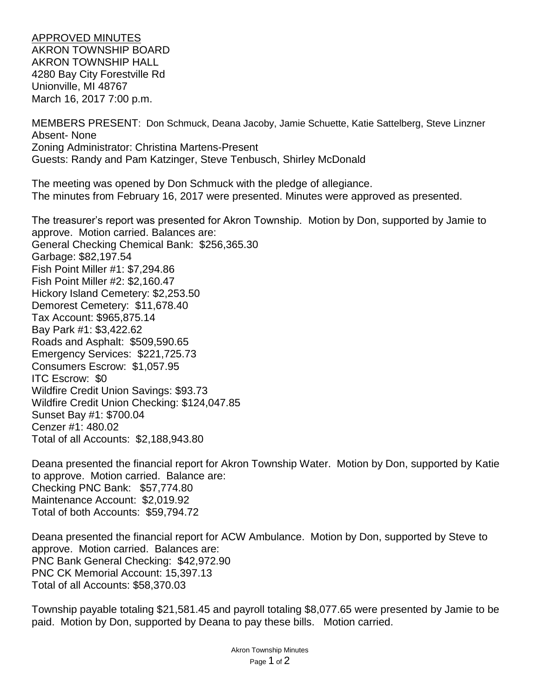APPROVED MINUTES AKRON TOWNSHIP BOARD AKRON TOWNSHIP HALL 4280 Bay City Forestville Rd Unionville, MI 48767 March 16, 2017 7:00 p.m.

MEMBERS PRESENT: Don Schmuck, Deana Jacoby, Jamie Schuette, Katie Sattelberg, Steve Linzner Absent- None Zoning Administrator: Christina Martens-Present Guests: Randy and Pam Katzinger, Steve Tenbusch, Shirley McDonald

The meeting was opened by Don Schmuck with the pledge of allegiance. The minutes from February 16, 2017 were presented. Minutes were approved as presented.

The treasurer's report was presented for Akron Township. Motion by Don, supported by Jamie to approve. Motion carried. Balances are: General Checking Chemical Bank: \$256,365.30 Garbage: \$82,197.54 Fish Point Miller #1: \$7,294.86 Fish Point Miller #2: \$2,160.47 Hickory Island Cemetery: \$2,253.50 Demorest Cemetery: \$11,678.40 Tax Account: \$965,875.14 Bay Park #1: \$3,422.62 Roads and Asphalt: \$509,590.65 Emergency Services: \$221,725.73 Consumers Escrow: \$1,057.95 ITC Escrow: \$0 Wildfire Credit Union Savings: \$93.73 Wildfire Credit Union Checking: \$124,047.85 Sunset Bay #1: \$700.04 Cenzer #1: 480.02 Total of all Accounts: \$2,188,943.80

Deana presented the financial report for Akron Township Water. Motion by Don, supported by Katie to approve. Motion carried. Balance are: Checking PNC Bank: \$57,774.80 Maintenance Account: \$2,019.92 Total of both Accounts: \$59,794.72

Deana presented the financial report for ACW Ambulance. Motion by Don, supported by Steve to approve. Motion carried. Balances are: PNC Bank General Checking: \$42,972.90 PNC CK Memorial Account: 15,397.13 Total of all Accounts: \$58,370.03

Township payable totaling \$21,581.45 and payroll totaling \$8,077.65 were presented by Jamie to be paid. Motion by Don, supported by Deana to pay these bills. Motion carried.